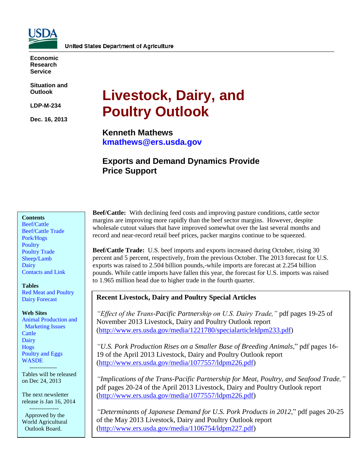

**Economic Research Service**

**Situation and Outlook**

**LDP-M-234**

**Dec. 16, 2013**

# **Livestock, Dairy, and Poultry Outlook**

**Kenneth Mathews kmathews@ers.usda.gov**

# **Exports and Demand Dynamics Provide Price Support**

#### **Contents**

[Beef/Cattle](#page-2-0) [Beef/Cattle](#page-5-0) Trade [Pork/Hogs](#page-7-0) **[Poultry](#page-10-0)** [Poultry Trade](#page-14-0) [Sheep/Lamb](#page-15-0) **[Dairy](#page-17-0)** [Contacts and Link](#page-19-0)

#### **Tables**

[Red Meat and Poultry](#page-20-0) [Dairy Forecast](#page-21-0)

#### **Web Sites**

[Animal Production and](http://www.ers.usda.gov/topics/animal-products/animal-production-marketing-issues.aspx) Marketing Issues **[Cattle](http://www.ers.usda.gov/topics/animal-products/cattle-beef.aspx)** [Dairy](http://www.ers.usda.gov/topics/animal-products/dairy.aspx) [Hogs](http://www.ers.usda.gov/topics/animal-products/hogs-pork.aspx) [Poultry and Eggs](http://www.ers.usda.gov/topics/animal-products/poultry-eggs.aspx) **[WASDE](http://usda.mannlib.cornell.edu/MannUsda/viewDocumentInfo.do?documentID=1194)** 

--------------

Tables will be released on Dec 24, 2013

The next newsletter release is Jan 16, 2014

 --------------- Approved by the World Agricultural Outlook Board.

**Beef/Cattle:** With declining feed costs and improving pasture conditions, cattle sector margins are improving more rapidly than the beef sector margins. However, despite wholesale cutout values that have improved somewhat over the last several months and record and near-record retail beef prices, packer margins continue to be squeezed.

**Beef/Cattle Trade:** U.S. beef imports and exports increased during October, rising 30 percent and 5 percent, respectively, from the previous October. The 2013 forecast for U.S. exports was raised to 2.504 billion pounds,-while imports are forecast at 2.254 billion pounds. While cattle imports have fallen this year, the forecast for U.S. imports was raised to 1.965 million head due to higher trade in the fourth quarter.

#### **Recent Livestock, Dairy and Poultry Special Articles**

*"Effect of the Trans-Pacific Partnership on U.S. Dairy Trade,"* pdf pages 19-25 of November 2013 Livestock, Dairy and Poultry Outlook report (http://www.ers.usda.gov/media/1221780/specialarticleldpm233.pdf)

*"U.S. Pork Production Rises on a Smaller Base of Breeding Animals*," pdf pages 16- 19 of the April 2013 Livestock, Dairy and Poultry Outlook report (http://www.ers.usda.gov/media/1077557/ldpm226.pdf)

*"Implications of the Trans-Pacific Partnership for Meat, Poultry, and Seafood Trade,"* pdf pages 20-24 of the April 2013 Livestock, Dairy and Poultry Outlook report (http://www.ers.usda.gov/media/1077557/ldpm226.pdf)

*"Determinants of Japanese Demand for U.S. Pork Products in 2012*," pdf pages 20-25 of the May 2013 Livestock, Dairy and Poultry Outlook report (http://www.ers.usda.gov/media/1106754/ldpm227.pdf)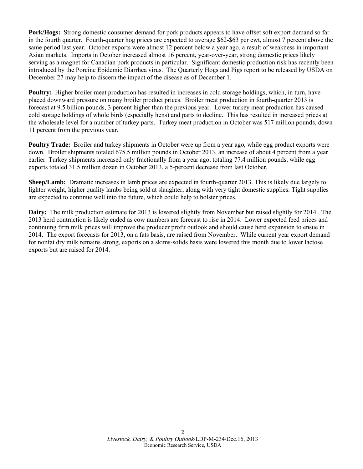**Pork/Hogs:** Strong domestic consumer demand for pork products appears to have offset soft export demand so far in the fourth quarter. Fourth-quarter hog prices are expected to average \$62-\$63 per cwt, almost 7 percent above the same period last year. October exports were almost 12 percent below a year ago, a result of weakness in important Asian markets. Imports in October increased almost 16 percent, year-over-year, strong domestic prices likely serving as a magnet for Canadian pork products in particular. Significant domestic production risk has recently been introduced by the Porcine Epidemic Diarrhea virus. The Quarterly Hogs and Pigs report to be released by USDA on December 27 may help to discern the impact of the disease as of December 1.

**Poultry:** Higher broiler meat production has resulted in increases in cold storage holdings, which, in turn, have placed downward pressure on many broiler product prices. Broiler meat production in fourth-quarter 2013 is forecast at 9.5 billion pounds, 3 percent higher than the previous year. Lower turkey meat production has caused cold storage holdings of whole birds (especially hens) and parts to decline. This has resulted in increased prices at the wholesale level for a number of turkey parts. Turkey meat production in October was 517 million pounds, down 11 percent from the previous year.

**Poultry Trade:** Broiler and turkey shipments in October were up from a year ago, while egg product exports were down. Broiler shipments totaled 675.5 million pounds in October 2013, an increase of about 4 percent from a year earlier. Turkey shipments increased only fractionally from a year ago, totaling 77.4 million pounds, while egg exports totaled 31.5 million dozen in October 2013, a 5-percent decrease from last October.

**Sheep/Lamb:** Dramatic increases in lamb prices are expected in fourth-quarter 2013. This is likely due largely to lighter weight, higher quality lambs being sold at slaughter, along with very tight domestic supplies. Tight supplies are expected to continue well into the future, which could help to bolster prices.

**Dairy:** The milk production estimate for 2013 is lowered slightly from November but raised slightly for 2014. The 2013 herd contraction is likely ended as cow numbers are forecast to rise in 2014. Lower expected feed prices and continuing firm milk prices will improve the producer profit outlook and should cause herd expansion to ensue in 2014. The export forecasts for 2013, on a fats basis, are raised from November. While current year export demand for nonfat dry milk remains strong, exports on a skims-solids basis were lowered this month due to lower lactose exports but are raised for 2014.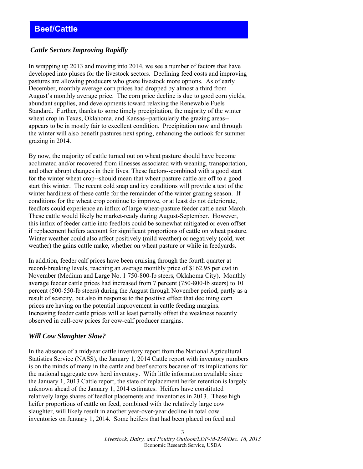#### <span id="page-2-0"></span> *Cattle Sectors Improving Rapidly*

In wrapping up 2013 and moving into 2014, we see a number of factors that have developed into pluses for the livestock sectors. Declining feed costs and improving pastures are allowing producers who graze livestock more options. As of early December, monthly average corn prices had dropped by almost a third from August's monthly average price. The corn price decline is due to good corn yields, abundant supplies, and developments toward relaxing the Renewable Fuels Standard. Further, thanks to some timely precipitation, the majority of the winter wheat crop in Texas, Oklahoma, and Kansas--particularly the grazing areas- appears to be in mostly fair to excellent condition. Precipitation now and through the winter will also benefit pastures next spring, enhancing the outlook for summer grazing in 2014.

By now, the majority of cattle turned out on wheat pasture should have become acclimated and/or recovered from illnesses associated with weaning, transportation, and other abrupt changes in their lives. These factors--combined with a good start for the winter wheat crop--should mean that wheat pasture cattle are off to a good start this winter. The recent cold snap and icy conditions will provide a test of the winter hardiness of these cattle for the remainder of the winter grazing season. If conditions for the wheat crop continue to improve, or at least do not deteriorate, feedlots could experience an influx of large wheat-pasture feeder cattle next March. These cattle would likely be market-ready during August-September. However, this influx of feeder cattle into feedlots could be somewhat mitigated or even offset if replacement heifers account for significant proportions of cattle on wheat pasture. Winter weather could also affect positively (mild weather) or negatively (cold, wet weather) the gains cattle make, whether on wheat pasture or while in feedyards.

In addition, feeder calf prices have been cruising through the fourth quarter at record-breaking levels, reaching an average monthly price of \$162.95 per cwt in November (Medium and Large No. 1 750-800-lb steers, Oklahoma City). Monthly average feeder cattle prices had increased from 7 percent (750-800-lb steers) to 10 percent (500-550-lb steers) during the August through November period, partly as a result of scarcity, but also in response to the positive effect that declining corn prices are having on the potential improvement in cattle feeding margins. Increasing feeder cattle prices will at least partially offset the weakness recently observed in cull-cow prices for cow-calf producer margins.

#### *Will Cow Slaughter Slow?*

In the absence of a midyear cattle inventory report from the National Agricultural Statistics Service (NASS), the January 1, 2014 Cattle report with inventory numbers is on the minds of many in the cattle and beef sectors because of its implications for the national aggregate cow herd inventory. With little information available since the January 1, 2013 Cattle report, the state of replacement heifer retention is largely unknown ahead of the January 1, 2014 estimates. Heifers have constituted relatively large shares of feedlot placements and inventories in 2013. These high heifer proportions of cattle on feed, combined with the relatively large cow slaughter, will likely result in another year-over-year decline in total cow inventories on January 1, 2014. Some heifers that had been placed on feed and

> *Livestock, Dairy, and Poultry Outlook/LDP-M-234/Dec. 16, 2013*  Economic Research Service, USDA

3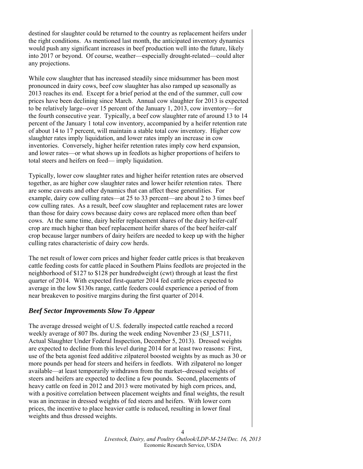destined for slaughter could be returned to the country as replacement heifers under the right conditions. As mentioned last month, the anticipated inventory dynamics would push any significant increases in beef production well into the future, likely into 2017 or beyond. Of course, weather—especially drought-related—could alter any projections.

While cow slaughter that has increased steadily since midsummer has been most pronounced in dairy cows, beef cow slaughter has also ramped up seasonally as 2013 reaches its end. Except for a brief period at the end of the summer, cull cow prices have been declining since March. Annual cow slaughter for 2013 is expected to be relatively large--over 15 percent of the January 1, 2013, cow inventory—for the fourth consecutive year. Typically, a beef cow slaughter rate of around 13 to 14 percent of the January 1 total cow inventory, accompanied by a heifer retention rate of about 14 to 17 percent, will maintain a stable total cow inventory. Higher cow slaughter rates imply liquidation, and lower rates imply an increase in cow inventories. Conversely, higher heifer retention rates imply cow herd expansion, and lower rates—or what shows up in feedlots as higher proportions of heifers to total steers and heifers on feed— imply liquidation.

Typically, lower cow slaughter rates and higher heifer retention rates are observed together, as are higher cow slaughter rates and lower heifer retention rates. There are some caveats and other dynamics that can affect these generalities. For example, dairy cow culling rates—at 25 to 33 percent—are about 2 to 3 times beef cow culling rates. As a result, beef cow slaughter and replacement rates are lower than those for dairy cows because dairy cows are replaced more often than beef cows. At the same time, dairy heifer replacement shares of the dairy heifer-calf crop are much higher than beef replacement heifer shares of the beef heifer-calf crop because larger numbers of dairy heifers are needed to keep up with the higher culling rates characteristic of dairy cow herds.

The net result of lower corn prices and higher feeder cattle prices is that breakeven cattle feeding costs for cattle placed in Southern Plains feedlots are projected in the neighborhood of \$127 to \$128 per hundredweight (cwt) through at least the first quarter of 2014. With expected first-quarter 2014 fed cattle prices expected to average in the low \$130s range, cattle feeders could experience a period of from near breakeven to positive margins during the first quarter of 2014.

#### *Beef Sector Improvements Slow To Appear*

The average dressed weight of U.S. federally inspected cattle reached a record weekly average of 807 lbs. during the week ending November 23 (SJ\_LS711, Actual Slaughter Under Federal Inspection, December 5, 2013). Dressed weights are expected to decline from this level during 2014 for at least two reasons: First, use of the beta agonist feed additive zilpaterol boosted weights by as much as 30 or more pounds per head for steers and heifers in feedlots. With zilpaterol no longer available—at least temporarily withdrawn from the market--dressed weights of steers and heifers are expected to decline a few pounds. Second, placements of heavy cattle on feed in 2012 and 2013 were motivated by high corn prices, and, with a positive correlation between placement weights and final weights, the result was an increase in dressed weights of fed steers and heifers. With lower corn prices, the incentive to place heavier cattle is reduced, resulting in lower final weights and thus dressed weights.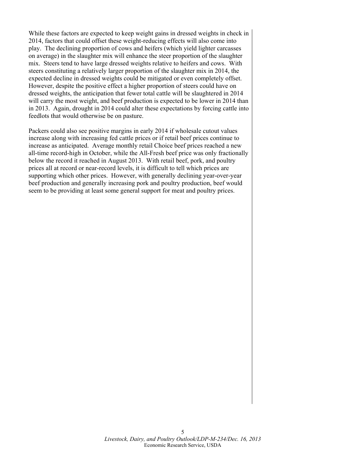While these factors are expected to keep weight gains in dressed weights in check in 2014, factors that could offset these weight-reducing effects will also come into play. The declining proportion of cows and heifers (which yield lighter carcasses on average) in the slaughter mix will enhance the steer proportion of the slaughter mix. Steers tend to have large dressed weights relative to heifers and cows. With steers constituting a relatively larger proportion of the slaughter mix in 2014, the expected decline in dressed weights could be mitigated or even completely offset. However, despite the positive effect a higher proportion of steers could have on dressed weights, the anticipation that fewer total cattle will be slaughtered in 2014 will carry the most weight, and beef production is expected to be lower in 2014 than in 2013. Again, drought in 2014 could alter these expectations by forcing cattle into feedlots that would otherwise be on pasture.

Packers could also see positive margins in early 2014 if wholesale cutout values increase along with increasing fed cattle prices or if retail beef prices continue to increase as anticipated. Average monthly retail Choice beef prices reached a new all-time record-high in October, while the All-Fresh beef price was only fractionally below the record it reached in August 2013. With retail beef, pork, and poultry prices all at record or near-record levels, it is difficult to tell which prices are supporting which other prices. However, with generally declining year-over-year beef production and generally increasing pork and poultry production, beef would seem to be providing at least some general support for meat and poultry prices.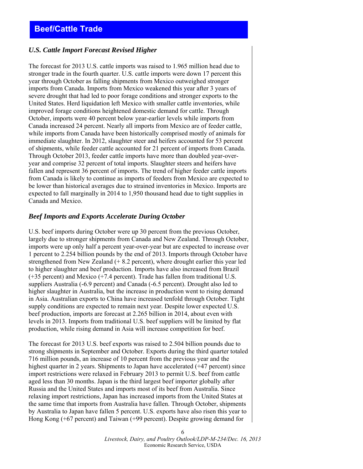# <span id="page-5-0"></span>**Beef/Cattle Trade**

#### *U.S. Cattle Import Forecast Revised Higher*

The forecast for 2013 U.S. cattle imports was raised to 1.965 million head due to stronger trade in the fourth quarter. U.S. cattle imports were down 17 percent this year through October as falling shipments from Mexico outweighed stronger imports from Canada. Imports from Mexico weakened this year after 3 years of severe drought that had led to poor forage conditions and stronger exports to the United States. Herd liquidation left Mexico with smaller cattle inventories, while improved forage conditions heightened domestic demand for cattle. Through October, imports were 40 percent below year-earlier levels while imports from Canada increased 24 percent. Nearly all imports from Mexico are of feeder cattle, while imports from Canada have been historically comprised mostly of animals for immediate slaughter. In 2012, slaughter steer and heifers accounted for 53 percent of shipments, while feeder cattle accounted for 21 percent of imports from Canada. Through October 2013, feeder cattle imports have more than doubled year-overyear and comprise 32 percent of total imports. Slaughter steers and heifers have fallen and represent 36 percent of imports. The trend of higher feeder cattle imports from Canada is likely to continue as imports of feeders from Mexico are expected to be lower than historical averages due to strained inventories in Mexico. Imports are expected to fall marginally in 2014 to 1,950 thousand head due to tight supplies in Canada and Mexico.

#### *Beef Imports and Exports Accelerate During October*

U.S. beef imports during October were up 30 percent from the previous October, largely due to stronger shipments from Canada and New Zealand. Through October, imports were up only half a percent year-over-year but are expected to increase over 1 percent to 2.254 billion pounds by the end of 2013. Imports through October have strengthened from New Zealand (+ 8.2 percent), where drought earlier this year led to higher slaughter and beef production. Imports have also increased from Brazil (+35 percent) and Mexico (+7.4 percent). Trade has fallen from traditional U.S. suppliers Australia (-6.9 percent) and Canada (-6.5 percent). Drought also led to higher slaughter in Australia, but the increase in production went to rising demand in Asia. Australian exports to China have increased tenfold through October. Tight supply conditions are expected to remain next year. Despite lower expected U.S. beef production, imports are forecast at 2.265 billion in 2014, about even with levels in 2013. Imports from traditional U.S. beef suppliers will be limited by flat production, while rising demand in Asia will increase competition for beef.

The forecast for 2013 U.S. beef exports was raised to 2.504 billion pounds due to strong shipments in September and October. Exports during the third quarter totaled 716 million pounds, an increase of 10 percent from the previous year and the highest quarter in 2 years. Shipments to Japan have accelerated (+47 percent) since import restrictions were relaxed in February 2013 to permit U.S. beef from cattle aged less than 30 months. Japan is the third largest beef importer globally after Russia and the United States and imports most of its beef from Australia. Since relaxing import restrictions, Japan has increased imports from the United States at the same time that imports from Australia have fallen. Through October, shipments by Australia to Japan have fallen 5 percent. U.S. exports have also risen this year to Hong Kong (+67 percent) and Taiwan (+99 percent). Despite growing demand for

> *Livestock, Dairy, and Poultry Outlook/LDP-M-234/Dec. 16, 2013*  Economic Research Service, USDA

6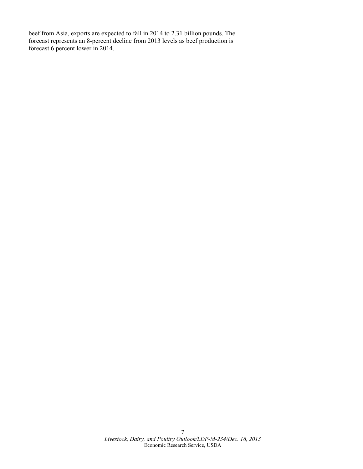beef from Asia, exports are expected to fall in 2014 to 2.31 billion pounds. The forecast represents an 8-percent decline from 2013 levels as beef production is forecast 6 percent lower in 2014.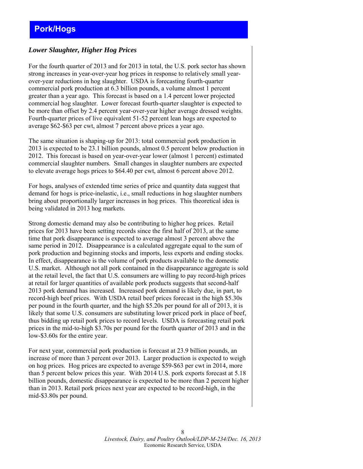## <span id="page-7-0"></span>*Lower Slaughter, Higher Hog Prices*

For the fourth quarter of 2013 and for 2013 in total, the U.S. pork sector has shown strong increases in year-over-year hog prices in response to relatively small yearover-year reductions in hog slaughter. USDA is forecasting fourth-quarter commercial pork production at 6.3 billion pounds, a volume almost 1 percent greater than a year ago. This forecast is based on a 1.4 percent lower projected commercial hog slaughter. Lower forecast fourth-quarter slaughter is expected to be more than offset by 2.4 percent year-over-year higher average dressed weights. Fourth-quarter prices of live equivalent 51-52 percent lean hogs are expected to average \$62-\$63 per cwt, almost 7 percent above prices a year ago.

The same situation is shaping-up for 2013: total commercial pork production in 2013 is expected to be 23.1 billion pounds, almost 0.5 percent below production in 2012. This forecast is based on year-over-year lower (almost 1 percent) estimated commercial slaughter numbers. Small changes in slaughter numbers are expected to elevate average hogs prices to \$64.40 per cwt, almost 6 percent above 2012.

For hogs, analyses of extended time series of price and quantity data suggest that demand for hogs is price-inelastic, i.e., small reductions in hog slaughter numbers bring about proportionally larger increases in hog prices. This theoretical idea is being validated in 2013 hog markets.

Strong domestic demand may also be contributing to higher hog prices. Retail prices for 2013 have been setting records since the first half of 2013, at the same time that pork disappearance is expected to average almost 3 percent above the same period in 2012. Disappearance is a calculated aggregate equal to the sum of pork production and beginning stocks and imports, less exports and ending stocks. In effect, disappearance is the volume of pork products available to the domestic U.S. market. Although not all pork contained in the disappearance aggregate is sold at the retail level, the fact that U.S. consumers are willing to pay record-high prices at retail for larger quantities of available pork products suggests that second-half 2013 pork demand has increased. Increased pork demand is likely due, in part, to record-high beef prices. With USDA retail beef prices forecast in the high \$5.30s per pound in the fourth quarter, and the high \$5.20s per pound for all of 2013, it is likely that some U.S. consumers are substituting lower priced pork in place of beef, thus bidding up retail pork prices to record levels. USDA is forecasting retail pork prices in the mid-to-high \$3.70s per pound for the fourth quarter of 2013 and in the low-\$3.60s for the entire year.

For next year, commercial pork production is forecast at 23.9 billion pounds, an increase of more than 3 percent over 2013. Larger production is expected to weigh on hog prices. Hog prices are expected to average \$59-\$63 per cwt in 2014, more than 5 percent below prices this year. With 2014 U.S. pork exports forecast at 5.18 billion pounds, domestic disappearance is expected to be more than 2 percent higher than in 2013. Retail pork prices next year are expected to be record-high, in the mid-\$3.80s per pound.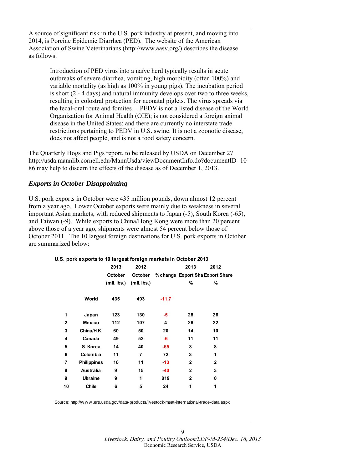A source of significant risk in the U.S. pork industry at present, and moving into 2014, is Porcine Epidemic Diarrhea (PED). The website of the American Association of Swine Veterinarians (http://www.aasv.org/) describes the disease as follows:

> Introduction of PED virus into a naïve herd typically results in acute outbreaks of severe diarrhea, vomiting, high morbidity (often 100%) and variable mortality (as high as 100% in young pigs). The incubation period is short (2 - 4 days) and natural immunity develops over two to three weeks, resulting in colostral protection for neonatal piglets. The virus spreads via the fecal-oral route and fomites….PEDV is not a listed disease of the World Organization for Animal Health (OIE); is not considered a foreign animal disease in the United States; and there are currently no interstate trade restrictions pertaining to PEDV in U.S. swine. It is not a zoonotic disease, does not affect people, and is not a food safety concern.

The Quarterly Hogs and Pigs report, to be released by USDA on December 27 http://usda.mannlib.cornell.edu/MannUsda/viewDocumentInfo.do?documentID=10 86 may help to discern the effects of the disease as of December 1, 2013.

#### *Exports in October Disappointing*

U.S. pork exports in October were 435 million pounds, down almost 12 percent from a year ago. Lower October exports were mainly due to weakness in several important Asian markets, with reduced shipments to Japan (-5), South Korea (-65), and Taiwan (-9). While exports to China/Hong Kong were more than 20 percent above those of a year ago, shipments were almost 54 percent below those of October 2011. The 10 largest foreign destinations for U.S. pork exports in October are summarized below:

#### **U.S. pork exports to 10 largest foreign markets in October 2013**

|              |                    | 2013          | 2012          |         | 2013           | 2012                             |  |
|--------------|--------------------|---------------|---------------|---------|----------------|----------------------------------|--|
|              |                    | October       | October       |         |                | % change Export Sha Export Share |  |
|              |                    | $(mil.$ lbs.) | $(mil.$ lbs.) |         | %              | %                                |  |
|              | World              | 435           | 493           | $-11.7$ |                |                                  |  |
| 1            | Japan              | 123           | 130           | -5      | 28             | 26                               |  |
| $\mathbf{2}$ | <b>Mexico</b>      | 112           | 107           | 4       | 26             | 22                               |  |
| 3            | China/H.K.         | 60            | 50            | 20      | 14             | 10                               |  |
| 4            | Canada             | 49            | 52            | -6      | 11             | 11                               |  |
| 5            | S. Korea           | 14            | 40            | $-65$   | 3              | 8                                |  |
| 6            | Colombia           | 11            | 7             | 72      | 3              | 1                                |  |
| 7            | <b>Philippines</b> | 10            | 11            | $-13$   | $\overline{2}$ | $\overline{2}$                   |  |
| 8            | <b>Australia</b>   | 9             | 15            | $-40$   | 2              | 3                                |  |
| 9            | <b>Ukraine</b>     | 9             | 1             | 819     | $\overline{2}$ | 0                                |  |
| 10           | <b>Chile</b>       | 6             | 5             | 24      | 1              | 1                                |  |
|              |                    |               |               |         |                |                                  |  |

Source: http://w w w .ers.usda.gov/data-products/livestock-meat-international-trade-data.aspx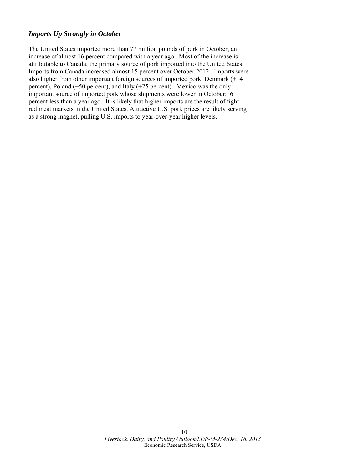## *Imports Up Strongly in October*

The United States imported more than 77 million pounds of pork in October, an increase of almost 16 percent compared with a year ago. Most of the increase is attributable to Canada, the primary source of pork imported into the United States. Imports from Canada increased almost 15 percent over October 2012. Imports were also higher from other important foreign sources of imported pork: Denmark (+14 percent), Poland (+50 percent), and Italy (+25 percent). Mexico was the only important source of imported pork whose shipments were lower in October: 6 percent less than a year ago. It is likely that higher imports are the result of tight red meat markets in the United States. Attractive U.S. pork prices are likely serving as a strong magnet, pulling U.S. imports to year-over-year higher levels.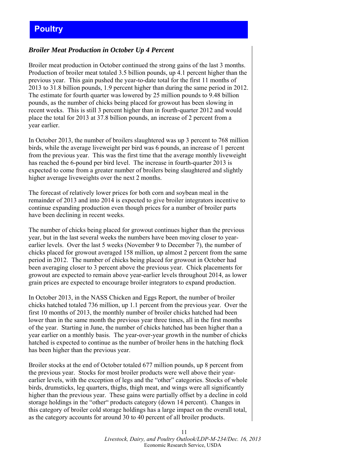# <span id="page-10-0"></span>**Poultry**

#### *Broiler Meat Production in October Up 4 Percent*

Broiler meat production in October continued the strong gains of the last 3 months. Production of broiler meat totaled 3.5 billion pounds, up 4.1 percent higher than the previous year. This gain pushed the year-to-date total for the first 11 months of 2013 to 31.8 billion pounds, 1.9 percent higher than during the same period in 2012. The estimate for fourth quarter was lowered by 25 million pounds to 9.48 billion pounds, as the number of chicks being placed for growout has been slowing in recent weeks. This is still 3 percent higher than in fourth-quarter 2012 and would place the total for 2013 at 37.8 billion pounds, an increase of 2 percent from a year earlier.

In October 2013, the number of broilers slaughtered was up 3 percent to 768 million birds, while the average liveweight per bird was 6 pounds, an increase of 1 percent from the previous year. This was the first time that the average monthly liveweight has reached the 6-pound per bird level. The increase in fourth-quarter 2013 is expected to come from a greater number of broilers being slaughtered and slightly higher average liveweights over the next 2 months.

The forecast of relatively lower prices for both corn and soybean meal in the remainder of 2013 and into 2014 is expected to give broiler integrators incentive to continue expanding production even though prices for a number of broiler parts have been declining in recent weeks.

The number of chicks being placed for growout continues higher than the previous year, but in the last several weeks the numbers have been moving closer to yearearlier levels. Over the last 5 weeks (November 9 to December 7), the number of chicks placed for growout averaged 158 million, up almost 2 percent from the same period in 2012. The number of chicks being placed for growout in October had been averaging closer to 3 percent above the previous year. Chick placements for growout are expected to remain above year-earlier levels throughout 2014, as lower grain prices are expected to encourage broiler integrators to expand production.

In October 2013, in the NASS Chicken and Eggs Report, the number of broiler chicks hatched totaled 736 million, up 1.1 percent from the previous year. Over the first 10 months of 2013, the monthly number of broiler chicks hatched had been lower than in the same month the previous year three times, all in the first months of the year. Starting in June, the number of chicks hatched has been higher than a year earlier on a monthly basis. The year-over-year growth in the number of chicks hatched is expected to continue as the number of broiler hens in the hatching flock has been higher than the previous year.

Broiler stocks at the end of October totaled 677 million pounds, up 8 percent from the previous year. Stocks for most broiler products were well above their yearearlier levels, with the exception of legs and the "other" categories. Stocks of whole birds, drumsticks, leg quarters, thighs, thigh meat, and wings were all significantly higher than the previous year. These gains were partially offset by a decline in cold storage holdings in the "other" products category (down 14 percent). Changes in this category of broiler cold storage holdings has a large impact on the overall total, as the category accounts for around 30 to 40 percent of all broiler products.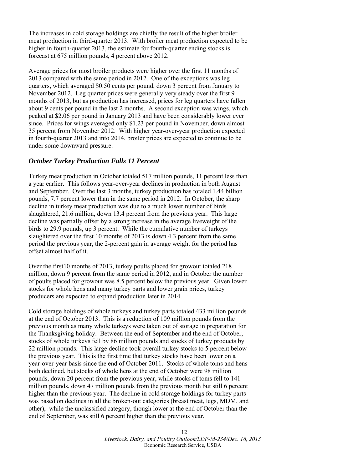The increases in cold storage holdings are chiefly the result of the higher broiler meat production in third-quarter 2013. With broiler meat production expected to be higher in fourth-quarter 2013, the estimate for fourth-quarter ending stocks is forecast at 675 million pounds, 4 percent above 2012.

Average prices for most broiler products were higher over the first 11 months of 2013 compared with the same period in 2012. One of the exceptions was leg quarters, which averaged \$0.50 cents per pound, down 3 percent from January to November 2012. Leg quarter prices were generally very steady over the first 9 months of 2013, but as production has increased, prices for leg quarters have fallen about 9 cents per pound in the last 2 months. A second exception was wings, which peaked at \$2.06 per pound in January 2013 and have been considerably lower ever since. Prices for wings averaged only \$1.23 per pound in November, down almost 35 percent from November 2012. With higher year-over-year production expected in fourth-quarter 2013 and into 2014, broiler prices are expected to continue to be under some downward pressure.

#### *October Turkey Production Falls 11 Percent*

Turkey meat production in October totaled 517 million pounds, 11 percent less than a year earlier. This follows year-over-year declines in production in both August and September. Over the last 3 months, turkey production has totaled 1.44 billion pounds, 7.7 percent lower than in the same period in 2012. In October, the sharp decline in turkey meat production was due to a much lower number of birds slaughtered, 21.6 million, down 13.4 percent from the previous year. This large decline was partially offset by a strong increase in the average liveweight of the birds to 29.9 pounds, up 3 percent. While the cumulative number of turkeys slaughtered over the first 10 months of 2013 is down 4.3 percent from the same period the previous year, the 2-percent gain in average weight for the period has offset almost half of it.

Over the first10 months of 2013, turkey poults placed for growout totaled 218 million, down 9 percent from the same period in 2012, and in October the number of poults placed for growout was 8.5 percent below the previous year. Given lower stocks for whole hens and many turkey parts and lower grain prices, turkey producers are expected to expand production later in 2014.

Cold storage holdings of whole turkeys and turkey parts totaled 433 million pounds at the end of October 2013. This is a reduction of 109 million pounds from the previous month as many whole turkeys were taken out of storage in preparation for the Thanksgiving holiday. Between the end of September and the end of October, stocks of whole turkeys fell by 86 million pounds and stocks of turkey products by 22 million pounds. This large decline took overall turkey stocks to 5 percent below the previous year. This is the first time that turkey stocks have been lower on a year-over-year basis since the end of October 2011. Stocks of whole toms and hens both declined, but stocks of whole hens at the end of October were 98 million pounds, down 20 percent from the previous year, while stocks of toms fell to 141 million pounds, down 47 million pounds from the previous month but still 6 percent higher than the previous year. The decline in cold storage holdings for turkey parts was based on declines in all the broken-out categories (breast meat, legs, MDM, and other), while the unclassified category, though lower at the end of October than the end of September, was still 6 percent higher than the previous year.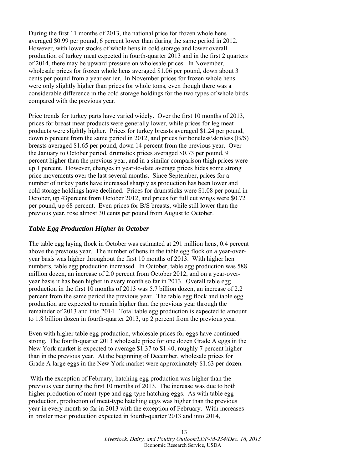During the first 11 months of 2013, the national price for frozen whole hens averaged \$0.99 per pound, 6 percent lower than during the same period in 2012. However, with lower stocks of whole hens in cold storage and lower overall production of turkey meat expected in fourth-quarter 2013 and in the first 2 quarters of 2014, there may be upward pressure on wholesale prices. In November, wholesale prices for frozen whole hens averaged \$1.06 per pound, down about 3 cents per pound from a year earlier. In November prices for frozen whole hens were only slightly higher than prices for whole toms, even though there was a considerable difference in the cold storage holdings for the two types of whole birds compared with the previous year.

Price trends for turkey parts have varied widely. Over the first 10 months of 2013, prices for breast meat products were generally lower, while prices for leg meat products were slightly higher. Prices for turkey breasts averaged \$1.24 per pound, down 6 percent from the same period in 2012, and prices for boneless/skinless (B/S) breasts averaged \$1.65 per pound, down 14 percent from the previous year. Over the January to October period, drumstick prices averaged \$0.73 per pound, 9 percent higher than the previous year, and in a similar comparison thigh prices were up 1 percent. However, changes in year-to-date average prices hides some strong price movements over the last several months. Since September, prices for a number of turkey parts have increased sharply as production has been lower and cold storage holdings have declined. Prices for drumsticks were \$1.08 per pound in October, up 43percent from October 2012, and prices for full cut wings were \$0.72 per pound, up 68 percent. Even prices for B/S breasts, while still lower than the previous year, rose almost 30 cents per pound from August to October.

#### *Table Egg Production Higher in October*

The table egg laying flock in October was estimated at 291 million hens, 0.4 percent above the previous year. The number of hens in the table egg flock on a year-overyear basis was higher throughout the first 10 months of 2013. With higher hen numbers, table egg production increased. In October, table egg production was 588 million dozen, an increase of 2.0 percent from October 2012, and on a year-overyear basis it has been higher in every month so far in 2013. Overall table egg production in the first 10 months of 2013 was 5.7 billion dozen, an increase of 2.2 percent from the same period the previous year. The table egg flock and table egg production are expected to remain higher than the previous year through the remainder of 2013 and into 2014. Total table egg production is expected to amount to 1.8 billion dozen in fourth-quarter 2013, up 2 percent from the previous year.

Even with higher table egg production, wholesale prices for eggs have continued strong. The fourth-quarter 2013 wholesale price for one dozen Grade A eggs in the New York market is expected to average \$1.37 to \$1.40, roughly 7 percent higher than in the previous year. At the beginning of December, wholesale prices for Grade A large eggs in the New York market were approximately \$1.63 per dozen.

 With the exception of February, hatching egg production was higher than the previous year during the first 10 months of 2013. The increase was due to both higher production of meat-type and egg-type hatching eggs. As with table egg production, production of meat-type hatching eggs was higher than the previous year in every month so far in 2013 with the exception of February. With increases in broiler meat production expected in fourth-quarter 2013 and into 2014,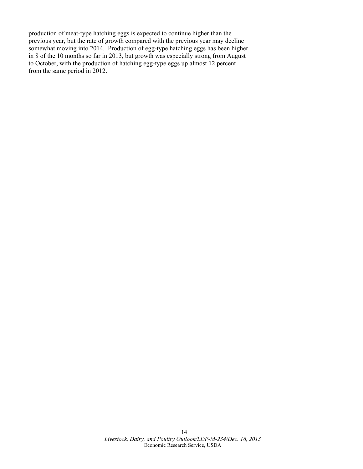production of meat-type hatching eggs is expected to continue higher than the previous year, but the rate of growth compared with the previous year may decline somewhat moving into 2014. Production of egg-type hatching eggs has been higher in 8 of the 10 months so far in 2013, but growth was especially strong from August to October, with the production of hatching egg-type eggs up almost 12 percent from the same period in 2012.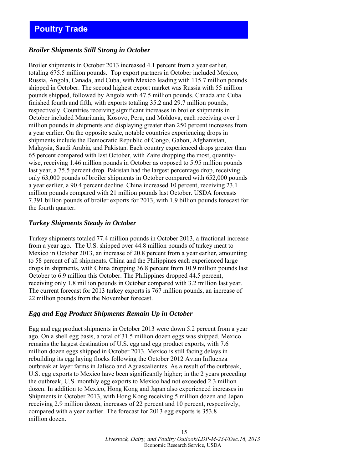## <span id="page-14-0"></span>*Broiler Shipments Still Strong in October*

Broiler shipments in October 2013 increased 4.1 percent from a year earlier, totaling 675.5 million pounds. Top export partners in October included Mexico, Russia, Angola, Canada, and Cuba, with Mexico leading with 115.7 million pounds shipped in October. The second highest export market was Russia with 55 million pounds shipped, followed by Angola with 47.5 million pounds. Canada and Cuba finished fourth and fifth, with exports totaling 35.2 and 29.7 million pounds, respectively. Countries receiving significant increases in broiler shipments in October included Mauritania, Kosovo, Peru, and Moldova, each receiving over 1 million pounds in shipments and displaying greater than 250 percent increases from a year earlier. On the opposite scale, notable countries experiencing drops in shipments include the Democratic Republic of Congo, Gabon, Afghanistan, Malaysia, Saudi Arabia, and Pakistan. Each country experienced drops greater than 65 percent compared with last October, with Zaire dropping the most, quantitywise, receiving 1.46 million pounds in October as opposed to 5.95 million pounds last year, a 75.5 percent drop. Pakistan had the largest percentage drop, receiving only 63,000 pounds of broiler shipments in October compared with 652,000 pounds a year earlier, a 90.4 percent decline. China increased 10 percent, receiving 23.1 million pounds compared with 21 million pounds last October. USDA forecasts 7.391 billion pounds of broiler exports for 2013, with 1.9 billion pounds forecast for the fourth quarter.

#### *Turkey Shipments Steady in October*

Turkey shipments totaled 77.4 million pounds in October 2013, a fractional increase from a year ago. The U.S. shipped over 44.8 million pounds of turkey meat to Mexico in October 2013, an increase of 20.8 percent from a year earlier, amounting to 58 percent of all shipments. China and the Philippines each experienced large drops in shipments, with China dropping 36.8 percent from 10.9 million pounds last October to 6.9 million this October. The Philippines dropped 44.5 percent, receiving only 1.8 million pounds in October compared with 3.2 million last year. The current forecast for 2013 turkey exports is 767 million pounds, an increase of 22 million pounds from the November forecast.

## *Egg and Egg Product Shipments Remain Up in October*

Egg and egg product shipments in October 2013 were down 5.2 percent from a year ago. On a shell egg basis, a total of 31.5 million dozen eggs was shipped. Mexico remains the largest destination of U.S. egg and egg product exports, with 7.6 million dozen eggs shipped in October 2013. Mexico is still facing delays in rebuilding its egg laying flocks following the October 2012 Avian Influenza outbreak at layer farms in Jalisco and Aguascalientes. As a result of the outbreak, U.S. egg exports to Mexico have been significantly higher; in the 2 years preceding the outbreak, U.S. monthly egg exports to Mexico had not exceeded 2.3 million dozen. In addition to Mexico, Hong Kong and Japan also experienced increases in Shipments in October 2013, with Hong Kong receiving 5 million dozen and Japan receiving 2.9 million dozen, increases of 22 percent and 10 percent, respectively, compared with a year earlier. The forecast for 2013 egg exports is 353.8 million dozen.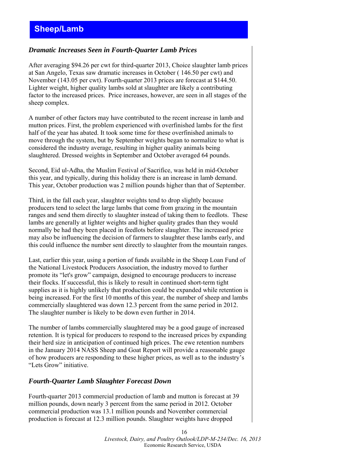## <span id="page-15-0"></span>*Dramatic Increases Seen in Fourth-Quarter Lamb Prices*

After averaging \$94.26 per cwt for third-quarter 2013, Choice slaughter lamb prices at San Angelo, Texas saw dramatic increases in October ( 146.50 per cwt) and November (143.05 per cwt). Fourth-quarter 2013 prices are forecast at \$144.50. Lighter weight, higher quality lambs sold at slaughter are likely a contributing factor to the increased prices. Price increases, however, are seen in all stages of the sheep complex.

A number of other factors may have contributed to the recent increase in lamb and mutton prices. First, the problem experienced with overfinished lambs for the first half of the year has abated. It took some time for these overfinished animals to move through the system, but by September weights began to normalize to what is considered the industry average, resulting in higher quality animals being slaughtered. Dressed weights in September and October averaged 64 pounds.

Second, Eid ul-Adha, the Muslim Festival of Sacrifice, was held in mid-October this year, and typically, during this holiday there is an increase in lamb demand. This year, October production was 2 million pounds higher than that of September.

Third, in the fall each year, slaughter weights tend to drop slightly because producers tend to select the large lambs that come from grazing in the mountain ranges and send them directly to slaughter instead of taking them to feedlots. These lambs are generally at lighter weights and higher quality grades than they would normally be had they been placed in feedlots before slaughter. The increased price may also be influencing the decision of farmers to slaughter these lambs early, and this could influence the number sent directly to slaughter from the mountain ranges.

Last, earlier this year, using a portion of funds available in the Sheep Loan Fund of the National Livestock Producers Association, the industry moved to further promote its "let's grow" campaign, designed to encourage producers to increase their flocks. If successful, this is likely to result in continued short-term tight supplies as it is highly unlikely that production could be expanded while retention is being increased. For the first 10 months of this year, the number of sheep and lambs commercially slaughtered was down 12.3 percent from the same period in 2012. The slaughter number is likely to be down even further in 2014.

The number of lambs commercially slaughtered may be a good gauge of increased retention. It is typical for producers to respond to the increased prices by expanding their herd size in anticipation of continued high prices. The ewe retention numbers in the January 2014 NASS Sheep and Goat Report will provide a reasonable gauge of how producers are responding to these higher prices, as well as to the industry's "Lets Grow" initiative.

#### *Fourth-Quarter Lamb Slaughter Forecast Down*

Fourth-quarter 2013 commercial production of lamb and mutton is forecast at 39 million pounds, down nearly 3 percent from the same period in 2012. October commercial production was 13.1 million pounds and November commercial production is forecast at 12.3 million pounds. Slaughter weights have dropped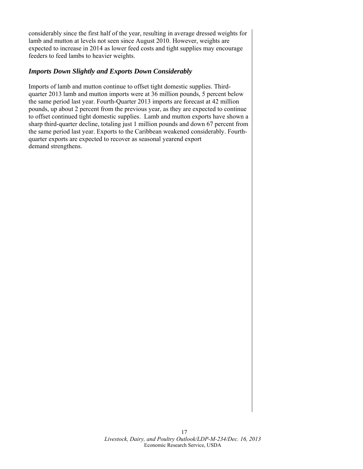considerably since the first half of the year, resulting in average dressed weights for lamb and mutton at levels not seen since August 2010. However, weights are expected to increase in 2014 as lower feed costs and tight supplies may encourage feeders to feed lambs to heavier weights.

## *Imports Down Slightly and Exports Down Considerably*

Imports of lamb and mutton continue to offset tight domestic supplies. Thirdquarter 2013 lamb and mutton imports were at 36 million pounds, 5 percent below the same period last year. Fourth-Quarter 2013 imports are forecast at 42 million pounds, up about 2 percent from the previous year, as they are expected to continue to offset continued tight domestic supplies. Lamb and mutton exports have shown a sharp third-quarter decline, totaling just 1 million pounds and down 67 percent from the same period last year. Exports to the Caribbean weakened considerably. Fourthquarter exports are expected to recover as seasonal yearend export demand strengthens.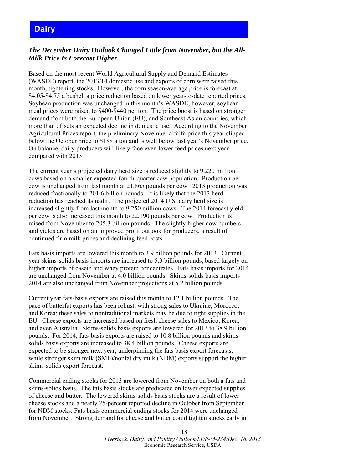# <span id="page-17-0"></span>**Dairy**

# *The December Dairy Outlook Changed Little from November, but the All-Milk Price Is Forecast Higher*

Based on the most recent World Agricultural Supply and Demand Estimates (WASDE) report, the 2013/14 domestic use and exports of corn were raised this month, tightening stocks. However, the corn season-average price is forecast at \$4.05-\$4.75 a bushel, a price reduction based on lower year-to-date reported prices. Soybean production was unchanged in this month's WASDE; however, soybean meal prices were raised to \$400-\$440 per ton. The price boost is based on stronger demand from both the European Union (EU), and Southeast Asian countries, which more than offsets an expected decline in domestic use. According to the November Agricultural Prices report, the preliminary November alfalfa price this year slipped below the October price to \$188 a ton and is well below last year's November price. On balance, dairy producers will likely face even lower feed prices next year compared with 2013.

The current year's projected dairy herd size is reduced slightly to 9.220 million cows based on a smaller expected fourth-quarter cow population. Production per cow is unchanged from last month at 21,865 pounds per cow. 2013 production was reduced fractionally to 201.6 billion pounds. It is likely that the 2013 herd reduction has reached its nadir. The projected 2014 U.S. dairy herd size is increased slightly from last month to 9.250 million cows. The 2014 forecast yield per cow is also increased this month to 22,190 pounds per cow. Production is raised from November to 205.3 billion pounds. The slightly higher cow numbers and yields are based on an improved profit outlook for producers, a result of continued firm milk prices and declining feed costs.

Fats basis imports are lowered this month to 3.9 billion pounds for 2013. Current year skims-solids basis imports are increased to 5.3 billion pounds, based largely on higher imports of casein and whey protein concentrates. Fats basis imports for 2014 are unchanged from November at 4.0 billion pounds. Skims-solids basis imports 2014 are also unchanged from November projections at 5.2 billion pounds.

Current year fats-basis exports are raised this month to 12.1 billion pounds. The pace of butterfat exports has been robust, with strong sales to Ukraine, Morocco, and Korea; these sales to nontraditional markets may be due to tight supplies in the EU. Cheese exports are increased based on fresh cheese sales to Mexico, Korea, and even Australia. Skims-solids basis exports are lowered for 2013 to 38.9 billion pounds. For 2014, fats-basis exports are raised to 10.8 billion pounds and skimssolids basis exports are increased to 38.4 billion pounds. Cheese exports are expected to be stronger next year, underpinning the fats basis export forecasts, while stronger skim milk (SMP)/nonfat dry milk (NDM) exports support the higher skims-solids export forecast.

Commercial ending stocks for 2013 are lowered from November on both a fats and skims-solids basis. The fats basis stocks are predicated on lower expected supplies of cheese and butter. The lowered skims-solids basis stocks are a result of lower cheese stocks and a nearly 25-percent reported decline in October from September for NDM stocks. Fats basis commercial ending stocks for 2014 were unchanged from November. Strong demand for cheese and butter could tighten stocks early in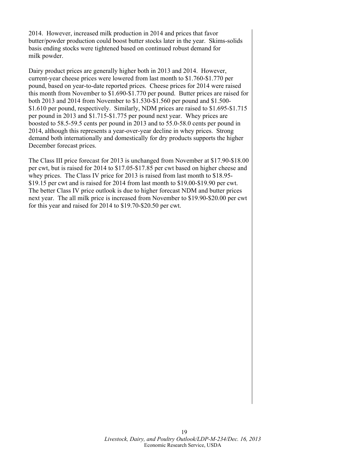2014. However, increased milk production in 2014 and prices that favor butter/powder production could boost butter stocks later in the year. Skims-solids basis ending stocks were tightened based on continued robust demand for milk powder.

Dairy product prices are generally higher both in 2013 and 2014. However, current-year cheese prices were lowered from last month to \$1.760-\$1.770 per pound, based on year-to-date reported prices. Cheese prices for 2014 were raised this month from November to \$1.690-\$1.770 per pound. Butter prices are raised for both 2013 and 2014 from November to \$1.530-\$1.560 per pound and \$1.500- \$1.610 per pound, respectively. Similarly, NDM prices are raised to \$1.695-\$1.715 per pound in 2013 and \$1.715-\$1.775 per pound next year. Whey prices are boosted to 58.5-59.5 cents per pound in 2013 and to 55.0-58.0 cents per pound in 2014, although this represents a year-over-year decline in whey prices. Strong demand both internationally and domestically for dry products supports the higher December forecast prices.

The Class III price forecast for 2013 is unchanged from November at \$17.90-\$18.00 per cwt, but is raised for 2014 to \$17.05-\$17.85 per cwt based on higher cheese and whey prices. The Class IV price for 2013 is raised from last month to \$18.95-\$19.15 per cwt and is raised for 2014 from last month to \$19.00-\$19.90 per cwt. The better Class IV price outlook is due to higher forecast NDM and butter prices next year. The all milk price is increased from November to \$19.90-\$20.00 per cwt for this year and raised for 2014 to \$19.70-\$20.50 per cwt.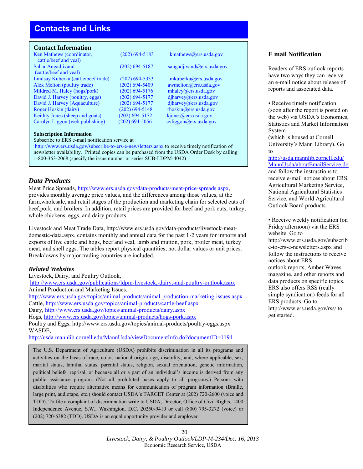# <span id="page-19-0"></span>**Contacts and Links**

#### **Contact Information**

| Ken Mathews (coordinator,           | $(202)$ 694-5183   | kmathews@ers.usda.gov                |
|-------------------------------------|--------------------|--------------------------------------|
| cattle/beef and yeal)               |                    |                                      |
| Sahar Angadjivand                   | $(202)$ 694-5187   | sangadjivand@ers.usda.gov            |
| (cattle/beef and yeal)              |                    |                                      |
| Lindsay Kuberka (cattle/beef trade) | $(202) 694 - 5333$ | lmkuberka@ers.usda.gov               |
| Alex Melton (poultry trade)         | $(202)$ 694-5409   | $a$ wmelton $(a)$ ers.usda.gov       |
| Mildred M. Haley (hogs/pork)        | $(202)$ 694-5176   | mhaley@ers.usda.gov                  |
| David J. Harvey (poultry, eggs)     | $(202)$ 694-5177   | $d$ jharvey@ers.usda.gov             |
| David J. Harvey (Aquaculture)       | $(202) 694 - 5177$ | diharvey@ers.usda.gov                |
| Roger Hoskin (dairy)                | $(202)$ 694-5148   | $r \text{hosh}(\omega)$ ers.usda.gov |
| Keithly Jones (sheep and goats)     | $(202) 694 - 5172$ | kjones@ers.usda.gov                  |
| Carolyn Liggon (web publishing)     | $(202)$ 694-5056   | cvliggon@ers.usda.gov                |

#### **[Subscription Information](http://www.ers.usda.gov/subscribe-to-ers-e-newsletters.aspx)**

Subscribe to ERS e-mail notification service at

http://www.ers.usda.gov/subscribe-to-ers-e-newsletters.aspx to receive timely notification of newsletter availability. Printed copies can be purchased from the USDA Order Desk by calling 1-800-363-2068 (specify the issue number or series SUB-LDPM-4042)

#### *Data Products*

Meat Price Spreads, [http://www.ers.usda.gov/data-products/meat-price-spreads.aspx,](http://www.ers.usda.gov/data-products/meat-price-spreads.aspx) provides monthly average price values, and the differences among those values, at the farm,wholesale, and retail stages of the production and marketing chain for selected cuts of beef,pork, and broilers. In addition, retail prices are provided for beef and pork cuts, turkey, whole chickens, eggs, and dairy products.

[Livestock and Meat](http://www.ers.usda.gov/data-products/livestock-meat-domestic-data.aspx) Trade Data, [http://www.ers.usda.gov/data-products/livestock-meat](http://www.ers.usda.gov/data-products/livestock-meat-domestic-data.aspx)domestic-data.aspx, contains monthly and annual data for the past 1-2 years for imports and exports of live cattle and hogs, beef and veal, lamb and mutton, pork, broiler meat, turkey meat, and shell eggs. The tables report physical quantities, not dollar values or unit prices. Breakdowns by major trading countries are included.

#### *Related Websites*

[Livestock, Dairy, and Poultry Outlook,](http://www.ers.usda.gov/publications/ldpm-livestock,-dairy,-and-poultry-outlook.aspx) 

http://www.ers.usda.gov/publications/ldpm-livestock,-dairy,-and-poultry-outlook.aspx [Animal Production and Marketing Issues,](http://www.ers.usda.gov/topics/animal-products/animal-production-marketing-issues.aspx) 

http://[www.ers.usda.gov/topics/animal-products/animal-production-mark](http://www.ers.usda.gov/topics/animal-products/cattle-beef.aspx)eting-issues.aspx Cattle, [http://www.ers.usda.gov/topics/animal-products/cattle-beef.a](http://www.ers.usda.gov/topics/animal-products/dairy.aspx)spx Dairy, [http://www.ers.usda.gov/topics/animal-products/dairy.aspx](http://www.ers.usda.gov/topics/animal-products/hogs-pork.aspx)

Hogs, http://www[.ers.usda.gov/topics/animal-products/hogs-pork.aspx](http://www.ers.usda.gov/topics/animal-products/poultry-eggs.aspx)

Poultry and Eggs, http://www.ers.usda.gov/topics/animal-products/poultry-eggs.aspx WASDE,

<http://usda.mannlib.cornell.edu/MannUsda/viewDocumentInfo.do?documentID=1194>

The U.S. Department of Agriculture (USDA) prohibits discrimination in all its programs and activities on the basis of race, color, national origin, age, disability, and, where applicable, sex, marital status, familial status, parental status, religion, sexual orientation, genetic information, political beliefs, reprisal, or because all or a part of an individual's income is derived from any public assistance program. (Not all prohibited bases apply to all programs.) Persons with disabilities who require alternative means for communication of program information (Braille, large print, audiotape, etc.) should contact USDA's TARGET Center at (202) 720-2600 (voice and TDD). To file a complaint of discrimination write to USDA, Director, Office of Civil Rights, 1400 Independence Avenue, S.W., Washington, D.C. 20250-9410 or call (800) 795-3272 (voice) or (202) 720-6382 (TDD). USDA is an equal opportunity provider and employer.

#### **E mail Notification**

Readers of ERS outlook reports have two ways they can receive an e-mail notice about release of reports and associated data.

• Receive timely notification (soon after the report is posted on the web) via USDA's Economics, Statistics and Market Information System

(which is housed at Cornell [University's Mann Library\). Go](http://usda.mannlib.cornell.edu/ MannUsda/aboutEmailService.do) to

http://usda.mannlib.cornell.edu/ MannUsda/aboutEmailService.do and follow the instructions to receive e-mail notices about ERS, Agricultural Marketing Service, National Agricultural Statistics Service, and World Agricultural Outlook Board products.

• Receive weekly notification (on [Friday afternoon\) via the ERS](http://www.ers.usda.gov/subscribe-to-ers-e-newsletters.aspx) website. Go to http://www.ers.usda.gov/subscrib e-to-ers-e-newsletters.aspx and follow the instructions to receive notices about ERS outlook reports, Amber Waves magazine, [and other repo](http://www.ers.usda.gov/rss/)rts and data products on specific topics. ERS also offers RSS (really simple syndication) feeds for all ERS products. Go to http://www.ers.usda.gov/rss/ to get started.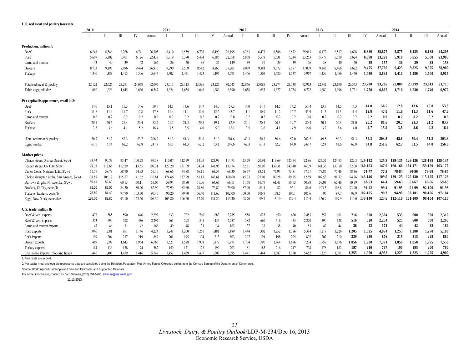<span id="page-20-0"></span>

| U.S. red meat and poultry forecasts        |        |              |              |        |        |        |              |        |        |        |        |              |        |        |        |        |              |        |           |        |         |              |         |         |
|--------------------------------------------|--------|--------------|--------------|--------|--------|--------|--------------|--------|--------|--------|--------|--------------|--------|--------|--------|--------|--------------|--------|-----------|--------|---------|--------------|---------|---------|
|                                            | 2010   |              |              |        |        | 2011   |              |        |        |        | 2012   |              |        |        |        | 2013   |              |        |           |        | 2014    |              |         |         |
|                                            |        | $\mathbf{u}$ | $\mathbf{I}$ | IV     | Annual |        | $\mathbf{I}$ | Ш      | IV     | Annual |        | $\mathbf{I}$ | Ш      | IV     | Annual |        | $\mathbf{I}$ | Ш      | IV        | Annual |         | $\mathbf{I}$ | Ш       | Annual  |
| Production, million lb                     |        |              |              |        |        |        |              |        |        |        |        |              |        |        |        |        |              |        |           |        |         |              |         |         |
| Beef                                       | 6.248  | 6.546        | 6,768        | 6,741  | 26,305 | 6,410  | 6,559        | 6,736  | 6,490  | 26,195 | 6,283  | 6,473        | 6.586  | 6,572  | 25,913 | 6,172  | 6,517        | 6.608  | 6.380     | 25,677 | 5,875   | 6,135        | 6,185   | 24,205  |
| Pork                                       | 5,607  | 5.302        | 5,401        | 6,126  | 22,437 | 5,719  | 5,370        | 5,484  | 6,186  | 22,758 | 5,858  | 5.519        | 5,631  | 6,244  | 23.253 | 5,777  | 5.519        | 5,624  | 6,300     | 23,220 | 5.910   | 5,655        | 5,800   | 23.905  |
| Lamb and mutton                            | 43     | 40           | 39           | 42     | 164    | 36     | 40           | 36     | 37     | 149    | 39     | 39           | 39     | 39     | 156    | 38     | -40          | 40     | 39        | 157    | 38      | 39           | 38      | 153     |
| <b>Broilers</b>                            | 8,733  | 9,198        | 9,496        | 9,484  | 36,910 | 9.290  | 9,509        | 9,542  | 8,860  | 37,201 | 9,089  | 9381         | 9.372  | 9,197  | 37,039 | 9,143  | 9,466        | 9,682  | 9,475     | 37,766 | 9,425   | 9,825        | 9,925   | 38,900  |
| Turkeys                                    | 1,340  | 1.383        | 1,415        | 1,506  | 5,644  | 1,402  | 1,471        | 1,423  | 1,495  | 5,791  | 1,446  | 1,505        | 1,480  | 1,537  | 5,967  | 1,459  | 1,486        | 1,440  | 1,450     | 5,835  | 1,410   | 1,480        | 1,500   | 5.915   |
| Total red meat & poultry                   | 22,122 | 22,626       | 23,291       | 24,058 | 92,097 | 23,011 | 23,113       | 23,396 | 23,225 | 92,745 | 22,866 | 23,085       | 23,274 | 23,738 | 92,963 | 22,742 | 23,190       | 23,563 | 23,790    | 93.285 | 22,809  | 23,299       | 23,613  | 93,715  |
| Table eggs, mil. doz.                      | 1,610  | 1,626        | 1,645        | 1,666  | 6,547  | 1,624  | 1,634        | 1,646  | 1,686  | 6,590  | 1,658  | 1,653        | 1,677  | 1,734  | 6,722  | 1,680  | 1,696        | 1,721  | 1,770     | 6,867  | 1,710   | 1,730        | 1,740   | 6,970   |
| Per capita disappearance, retail lb 2/     |        |              |              |        |        |        |              |        |        |        |        |              |        |        |        |        |              |        |           |        |         |              |         |         |
| Beef                                       | 14.6   | 15.1         | 15.3         | 14.6   | 59.6   | 14.1   | 14.6         | 14.7   | 14.0   | 57.3   | 14.0   | 14.7         | 14.5   | 14.2   | 57.4   | 13.7   | 14.5         | 14.3   | 14.0      | 56.5   | 12.8    | 13.6         | 13.8    | 53.3    |
| Pork                                       | 11.8   | 11.4         | 11.7         | 12.8   | 47.8   | 11.4   | 11.1         | 11.0   | 12.2   | 45.7   | 11.1   | 10.9         | 11.2   | 12.7   | 45.9   | 11.5   | 11.3         | 11.4   | 12.8      | 47.0   | 11.6    | 11.3         | 11.6    | 47.8    |
| Lamb and mutton                            | 0.2    | 0.2          | 0.2          | 0.2    | 0.9    | 0.2    | 0.2          | 0.2    | 0.2    | 0.8    | 0.2    | 0.2          | 0.2    | 0.2    | 0.8    | 0.2    | 0.2          | 0.2    | 0.2       | 0.9    | 0.2     | 0.2          | 0.2     | 0.9     |
| <b>Broilers</b>                            | 20.1   | 20.5         | 21.4         | 20.4   | 82.4   | 21.5   | 21.5         | 20.8   | 19.1   | 82.9   | 20.1   | 20.4         | 20.3   | 19.7   | 80.4   | 20.1   | 20.3         | 21.0   | 20.2      | 81.6   | 20.3    | 21.3         | 21.2    | 83.7    |
| Turkeys                                    | 3.5    | 3.6          | 4.1          | 5.2    | 16.4   | 3.5    | 3.5          | 4.0    | 5.0    | 16.1   | 3.5    | 3.6          | 4.1    | 4.9    | 16.0   | 3.7    | 3.6          | 4.0    | 4.7       | 15.9   | 3.5     | 3.6          | 4.2     | 16.2    |
| Total red meat & poultry                   | 50.7   | 51.2         | 53.3         | 53.7   | 208.9  | 51.3   | 51.3         | 51.0   | 51.0   | 204.6  | 49.3   | 50.3         | 50.6   | 52.0   | 202.2  | 49.5   | 50.3         | 51.3   | 52.3      | 203.5  | 48.8    | 50.4         | 51.3    | 203.3   |
| Eggs, number                               | 61.5   | 61.4         | 62.2         | 62.8   | 247.9  | 61.1   | 61.3         | 62.2   | 63.1   | 247.6  | 62.3   | 61.3         | 62.2   | 64.0   | 249.7  | 62.4   | 61.6         | 62.8   | 64.8      | 251.6  | 62.7    | 63.5         | 64.0    | 256.0   |
| <b>Market prices</b>                       |        |              |              |        |        |        |              |        |        |        |        |              |        |        |        |        |              |        |           |        |         |              |         |         |
| Choice steers, 5-area Direct, \$/cwt       | 89.44  | 96.33        | 95.47        | 100.28 | 95.38  | 110.07 | 112.79       | 114.05 | 121.99 | 114.73 | 125.29 | 120.91       | 119.69 | 125.54 | 122.86 | 125.52 | 124.95       | 122.3  | 129-132   | 125.8  | 129-135 | 126-136      | 128-138 | 128-137 |
| Feeder steers, Ok City, \$/cwt             | 98.73  | 112.65       | 112.29       | 113.55 | 109.31 | 127.20 | 131.09       | 134.74 | 141.93 | 133.74 | 152.81 | 150.05       | 139.31 | 143.40 | 146.39 | 141.36 | 133.10       | 152.08 | 160-163   | 147.0  | 160-166 | 161-171      | 159-169 | 163-172 |
| Cutter Cows, National L.E., \$/cwt         | 51.79  | 58.79        | 58.90        | 54.93  | 56.10  | 68.66  | 74.88        | 66.11  | 63.54  | 68.30  | 76.57  | 83.51        | 76.94  | 73.81  | 77.71  | 77.87  | 77.46        | 78.36  | 74-77     | 77.3   | 78-84   | 80-90        | 78-88   | 78-87   |
| Choice slaughter lambs, San Angelo, \$/cwt | 103.87 | 106.17       | 115.57       | 141.62 | 116.81 | 174.66 | 157.99       | 161.13 | 148.61 | 160.60 | 145.33 | 127.08       | 89.28  | 89.85  | 112.89 | 107.53 | 91.72        | 94.26  | 143-146   | 109.5  | 129-125 | 120-130      | 15-125  | 117-126 |
| Barrows & gilts, N. base, Le. \$/cwt       | 50.41  | 59.60        | 60.13        | 50.11  | 55.06  | 59.94  | 68.80        | 71.06  | 64.66  | 66.11  | 61.68  | 61.79        | 61.43  | 58.63  | 60.88  | 59.03  | 65.46        | 70.59  | $62 - 63$ | 64.4   | 59-63   | 61-67        | 60-66   | 59-63   |
| Broilers, 12 City, cents/lb                | 82.20  | 85.00        | 84.50        | 80.00  | 82.90  | 77.90  | 82.60        | 78.80  | 76.80  | 79.00  | 87.40  | 85.1         | 82     | 92.1   | 86.6   | 103.5  | 108.6        | 93.90  | 91-92     | 99.4   | 91-95   | 91-99        | 92-100  | 91-98   |
| Turkeys, Eastern, cents/lb                 | 75.60  | 84.40        | 97.90        | 103.70 | 90.40  | 90.20  | 99.90        | 106.40 | 111.60 | 102.00 | 100.70 | 106.9        | 108.5  | 106.1  | 105.6  | 96     | 97.7         | 99.9   | 102-105   | 99.3   | 94-98   | 93-101       | 98-106  | 97-104  |
| Eggs, New York, cents/doz.                 | 126.00 | 82.80        | 93.10        | 123.20 | 106.30 | 105.80 | 106.60       | 117.70 | 131.20 | 115.30 | 108.70 | 99.7         | 131.9  | 129.4  | 117.4  | 126.9  | 109.9        | 119.0  | 137-140   | 123.6  | 112-118 | 101-109      | 96-104  | 107-115 |
| U.S. trade. million lb                     |        |              |              |        |        |        |              |        |        |        |        |              |        |        |        |        |              |        |           |        |         |              |         |         |
| Beef & veal exports                        | 478    | 585          | 590          | 646    | 2,299  | 633    | 702          | 766    | 683    | 2,785  | 558    | 625          | 650    | 620    | 2,453  | 557    | 631          | 716    | 600       | 2,504  | 535     | 600          | 600     | 2,310   |
| Beef & yeal imports                        | 573    | 690          | 598          | 436    | 2,297  | 461    | 593          | 548    | 454    | 2,057  | 582    | 669          | 516    | 453    | 2,220  | 590    | 628          | 516    | 520       | 2,254  | 525     | 600          | 600     | 2,265   |
| Lamb and mutton imports                    | 47     | 46           | 31           | 42     | 166    | 49     | 48           | 31     | 34     | 162    | 37     | 38           | 38     | 40     | 153    | 49     | 44           | 36     | 42        | 171    | 44      | 42           | 38      | 164     |
| Pork exports                               | 1,046  | 1,081        | 951          | 1,146  | 4,224  | 1,248  | 1,200        | 1,261  | 1,481  | 5,189  | 1,444  | 1.302        | 1,252  | 1,386  | 5,384  | 1,218  | 1,226        | 1,205  | 1,325     | 4.974  | 1,255   | 1,280        | 1,270   | 5.180   |
| Pork imports                               | 199    | 204          | 237          | 219    | 859    | 201    | 195          | 194    | 213    | 803    | 207    | 191          | 198    | 205    | 802    | 207    | 210          | 229    | 230       | 876    | 215     | 215          | 225     | 880     |
| Broiler exports                            | 1,469  | 1,699        | 1,643        | 1,954  | 6,765  | 1,527  | 1,588        | 1,978  | 1,879  | 6,971  | 1,734  | 1,790        | 1,864  | 1,886  | 7,274  | 1,759  | 1,876        | 1,856  | 1.900     | 7,391  | 1,850   | 1.850        | 1,975   | 7,550   |
| Turkey exports                             | 114    | 136          | 158          | 174    | 582    | 159    | 171          | 173    | 199    | 703    | 181    | 185          | 216    | 217    | 798    | 178    | 182          | 197    | 210       | 767    | 190     | 195          | 200     | 780     |
| Live swine imports (thousand head)         | 1,446  | 1,408        | 1,479        | 1,416  | 5.749  | 1,452  | 1,429        | 1.407  | 1.508  | 5,795  | 1.441  | 1,444        | 1.387  | 1.380  | 5.652  | 1,326  | 1,301        | 1,255  | 1,050     | 4,932  | 1,225   | 1,225        | 1,225   | 4.900   |

1/ Forecasts are in bold.

2/ Per capita meat and egg disappearance data are calculated using the Resident Population Plus Armed Forces Overseas series from the Census Bureau of the Department of Commerce.

Source: World Agricultural Supply and Demand Estimates and Supporting Materials.

For further information, contact: Richard Stillman, (202) 694-5265, stillman@ers.usda.gov

12/13/2013